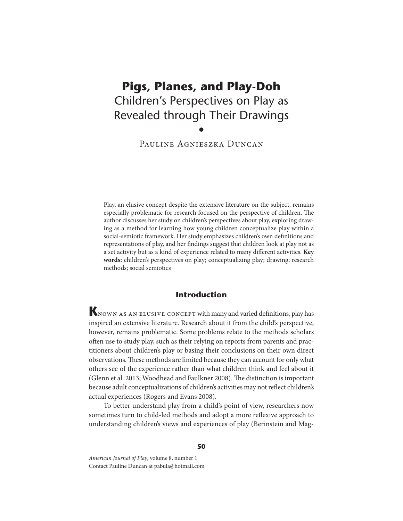# **Pigs, Planes, and Play-Doh** Children's Perspectives on Play as Revealed through Their Drawings •

Pauline Agnieszka Duncan

Play, an elusive concept despite the extensive literature on the subject, remains especially problematic for research focused on the perspective of children. The author discusses her study on children's perspectives about play, exploring drawing as a method for learning how young children conceptualize play within a social-semiotic framework. Her study emphasizes children's own definitions and representations of play, and her findings suggest that children look at play not as a set activity but as a kind of experience related to many different activities. Key **words:** children's perspectives on play; conceptualizing play; drawing; research methods; social semiotics

# **Introduction**

KNOWN AS AN ELUSIVE CONCEPT with many and varied definitions, play has inspired an extensive literature. Research about it from the child's perspective, however, remains problematic. Some problems relate to the methods scholars often use to study play, such as their relying on reports from parents and practitioners about children's play or basing their conclusions on their own direct observations. These methods are limited because they can account for only what others see of the experience rather than what children think and feel about it (Glenn et al. 2013; Woodhead and Faulkner 2008). The distinction is important because adult conceptualizations of children's activities may not reflect children's actual experiences (Rogers and Evans 2008).

To better understand play from a child's point of view, researchers now sometimes turn to child-led methods and adopt a more reflexive approach to understanding children's views and experiences of play (Berinstein and Mag-

American Journal of Play, volume 8, number 1 Contact Pauline Duncan at pabula@hotmail.com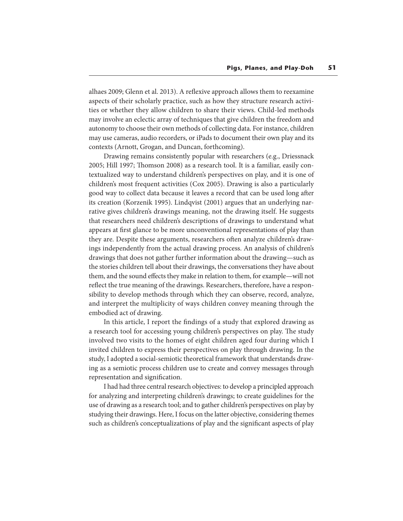alhaes 2009; Glenn et al. 2013). A reflexive approach allows them to reexamine aspects of their scholarly practice, such as how they structure research activities or whether they allow children to share their views. Child-led methods may involve an eclectic array of techniques that give children the freedom and autonomy to choose their own methods of collecting data. For instance, children may use cameras, audio recorders, or iPads to document their own play and its contexts (Arnott, Grogan, and Duncan, forthcoming).

Drawing remains consistently popular with researchers (e.g., Driessnack 2005; Hill 1997; Thomson 2008) as a research tool. It is a familiar, easily contextualized way to understand children's perspectives on play, and it is one of children's most frequent activities (Cox 2005). Drawing is also a particularly good way to collect data because it leaves a record that can be used long after its creation (Korzenik 1995). Lindqvist (2001) argues that an underlying narrative gives children's drawings meaning, not the drawing itself. He suggests that researchers need children's descriptions of drawings to understand what appears at first glance to be more unconventional representations of play than they are. Despite these arguments, researchers often analyze children's drawings independently from the actual drawing process. An analysis of children's drawings that does not gather further information about the drawing—such as the stories children tell about their drawings, the conversations they have about them, and the sound effects they make in relation to them, for example—will not reflect the true meaning of the drawings. Researchers, therefore, have a responsibility to develop methods through which they can observe, record, analyze, and interpret the multiplicity of ways children convey meaning through the embodied act of drawing.

In this article, I report the findings of a study that explored drawing as a research tool for accessing young children's perspectives on play. The study involved two visits to the homes of eight children aged four during which I invited children to express their perspectives on play through drawing. In the study, I adopted a social-semiotic theoretical framework that understands drawing as a semiotic process children use to create and convey messages through representation and signification.

I had had three central research objectives: to develop a principled approach for analyzing and interpreting children's drawings; to create guidelines for the use of drawing as a research tool; and to gather children's perspectives on play by studying their drawings. Here, I focus on the latter objective, considering themes such as children's conceptualizations of play and the significant aspects of play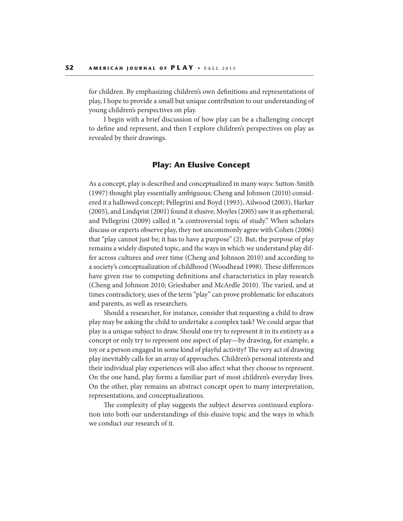for children. By emphasizing children's own definitions and representations of play, I hope to provide a small but unique contribution to our understanding of young children's perspectives on play.

I begin with a brief discussion of how play can be a challenging concept to define and represent, and then I explore children's perspectives on play as revealed by their drawings.

### **Play: An Elusive Concept**

As a concept, play is described and conceptualized in many ways: Sutton-Smith (1997) thought play essentially ambiguous; Cheng and Johnson (2010) considered it a hallowed concept; Pellegrini and Boyd (1993), Ailwood (2003), Harker (2005), and Lindqvist (2001) found it elusive; Moyles (2005) saw it as ephemeral; and Pellegrini (2009) called it "a controversial topic of study." When scholars discuss or experts observe play, they not uncommonly agree with Cohen (2006) that "play cannot just be; it has to have a purpose" (2). But, the purpose of play remains a widely disputed topic, and the ways in which we understand play differ across cultures and over time (Cheng and Johnson 2010) and according to a society's conceptualization of childhood (Woodhead 1998). These differences have given rise to competing definitions and characteristics in play research (Cheng and Johnson 2010; Grieshaber and McArdle 2010). The varied, and at times contradictory, uses of the term "play" can prove problematic for educators and parents, as well as researchers.

Should a researcher, for instance, consider that requesting a child to draw play may be asking the child to undertake a complex task? We could argue that play is a unique subject to draw. Should one try to represent it in its entirety as a concept or only try to represent one aspect of play—by drawing, for example, a toy or a person engaged in some kind of playful activity? The very act of drawing play inevitably calls for an array of approaches. Children's personal interests and their individual play experiences will also affect what they choose to represent. On the one hand, play forms a familiar part of most children's everyday lives. On the other, play remains an abstract concept open to many interpretation, representations, and conceptualizations.

The complexity of play suggests the subject deserves continued exploration into both our understandings of this elusive topic and the ways in which we conduct our research of it.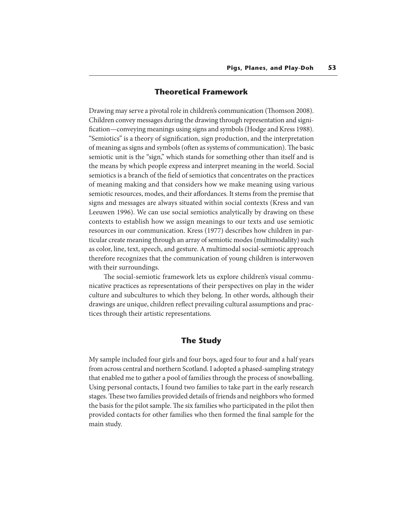# **Theoretical Framework**

Drawing may serve a pivotal role in children's communication (Thomson 2008). Children convey messages during the drawing through representation and signi fication—conveying meanings using signs and symbols (Hodge and Kress 1988). "Semiotics" is a theory of signication, sign production, and the interpretation of meaning as signs and symbols (often as systems of communication). The basic semiotic unit is the "sign," which stands for something other than itself and is the means by which people express and interpret meaning in the world. Social semiotics is a branch of the field of semiotics that concentrates on the practices of meaning making and that considers how we make meaning using various semiotic resources, modes, and their affordances. It stems from the premise that signs and messages are always situated within social contexts (Kress and van Leeuwen 1996). We can use social semiotics analytically by drawing on these contexts to establish how we assign meanings to our texts and use semiotic resources in our communication. Kress (1977) describes how children in particular create meaning through an array of semiotic modes (multimodality) such as color, line, text, speech, and gesture. A multimodal social-semiotic approach therefore recognizes that the communication of young children is interwoven with their surroundings.

The social-semiotic framework lets us explore children's visual communicative practices as representations of their perspectives on play in the wider culture and subcultures to which they belong. In other words, although their drawings are unique, children reflect prevailing cultural assumptions and practices through their artistic representations.

# **The Study**

My sample included four girls and four boys, aged four to four and a half years from across central and northern Scotland. I adopted a phased-sampling strategy that enabled me to gather a pool of families through the process of snowballing. Using personal contacts, I found two families to take part in the early research stages. These two families provided details of friends and neighbors who formed the basis for the pilot sample. The six families who participated in the pilot then provided contacts for other families who then formed the final sample for the main study.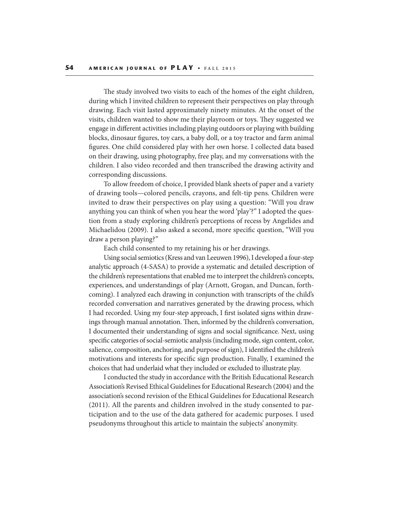The study involved two visits to each of the homes of the eight children, during which I invited children to represent their perspectives on play through drawing. Each visit lasted approximately ninety minutes. At the onset of the visits, children wanted to show me their playroom or toys. They suggested we engage in different activities including playing outdoors or playing with building blocks, dinosaur figures, toy cars, a baby doll, or a toy tractor and farm animal figures. One child considered play with her own horse. I collected data based on their drawing, using photography, free play, and my conversations with the children. I also video recorded and then transcribed the drawing activity and corresponding discussions.

To allow freedom of choice, I provided blank sheets of paper and a variety of drawing tools—colored pencils, crayons, and felt-tip pens. Children were invited to draw their perspectives on play using a question: "Will you draw anything you can think of when you hear the word 'play'?" I adopted the question from a study exploring children's perceptions of recess by Angelides and Michaelidou (2009). I also asked a second, more specific question, "Will you draw a person playing?"

Each child consented to my retaining his or her drawings.

Using social semiotics (Kress and van Leeuwen 1996), I developed a four-step analytic approach (4-SASA) to provide a systematic and detailed description of the children's representations that enabled me to interpret the children's concepts, experiences, and understandings of play (Arnott, Grogan, and Duncan, forthcoming). I analyzed each drawing in conjunction with transcripts of the child's recorded conversation and narratives generated by the drawing process, which I had recorded. Using my four-step approach, I first isolated signs within drawings through manual annotation. Then, informed by the children's conversation, I documented their understanding of signs and social signicance. Next, using specific categories of social-semiotic analysis (including mode, sign content, color, salience, composition, anchoring, and purpose of sign), I identified the children's motivations and interests for specific sign production. Finally, I examined the choices that had underlaid what they included or excluded to illustrate play.

I conducted the study in accordance with the British Educational Research Association's Revised Ethical Guidelines for Educational Research (2004) and the association's second revision of the Ethical Guidelines for Educational Research (2011). All the parents and children involved in the study consented to participation and to the use of the data gathered for academic purposes. I used pseudonyms throughout this article to maintain the subjects' anonymity.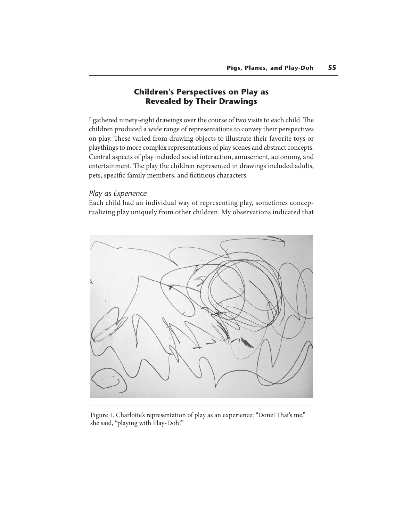# **Children's Perspectives on Play as Revealed by Their Drawings**

I gathered ninety-eight drawings over the course of two visits to each child. The children produced a wide range of representations to convey their perspectives on play. These varied from drawing objects to illustrate their favorite toys or playthings to more complex representations of play scenes and abstract concepts. Central aspects of play included social interaction, amusement, autonomy, and entertainment. The play the children represented in drawings included adults, pets, specific family members, and fictitious characters.

## *Play as Experience*

Each child had an individual way of representing play, sometimes conceptualizing play uniquely from other children. My observations indicated that



Figure 1. Charlotte's representation of play as an experience: "Done! That's me," she said, "playing with Play-Doh!"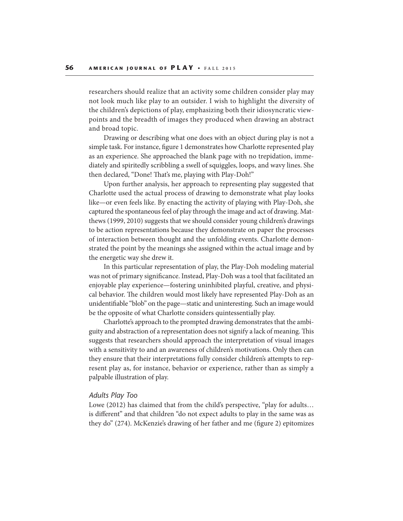researchers should realize that an activity some children consider play may not look much like play to an outsider. I wish to highlight the diversity of the children's depictions of play, emphasizing both their idiosyncratic viewpoints and the breadth of images they produced when drawing an abstract and broad topic.

Drawing or describing what one does with an object during play is not a simple task. For instance, figure 1 demonstrates how Charlotte represented play as an experience. She approached the blank page with no trepidation, immediately and spiritedly scribbling a swell of squiggles, loops, and wavy lines. She then declared, "Done! That's me, playing with Play-Doh!"

Upon further analysis, her approach to representing play suggested that Charlotte used the actual process of drawing to demonstrate what play looks like—or even feels like. By enacting the activity of playing with Play-Doh, she captured the spontaneous feel of play through the image and act of drawing. Matthews (1999, 2010) suggests that we should consider young children's drawings to be action representations because they demonstrate on paper the processes of interaction between thought and the unfolding events. Charlotte demonstrated the point by the meanings she assigned within the actual image and by the energetic way she drew it.

In this particular representation of play, the Play-Doh modeling material was not of primary significance. Instead, Play-Doh was a tool that facilitated an enjoyable play experience—fostering uninhibited playful, creative, and physical behavior. The children would most likely have represented Play-Doh as an unidentiable "blob" on the page—static and uninteresting. Such an image would be the opposite of what Charlotte considers quintessentially play.

Charlotte's approach to the prompted drawing demonstrates that the ambiguity and abstraction of a representation does not signify a lack of meaning. This suggests that researchers should approach the interpretation of visual images with a sensitivity to and an awareness of children's motivations. Only then can they ensure that their interpretations fully consider children's attempts to represent play as, for instance, behavior or experience, rather than as simply a palpable illustration of play.

#### *Adults Play Too*

Lowe (2012) has claimed that from the child's perspective, "play for adults… is different" and that children "do not expect adults to play in the same was as they do" (274). McKenzie's drawing of her father and me (figure 2) epitomizes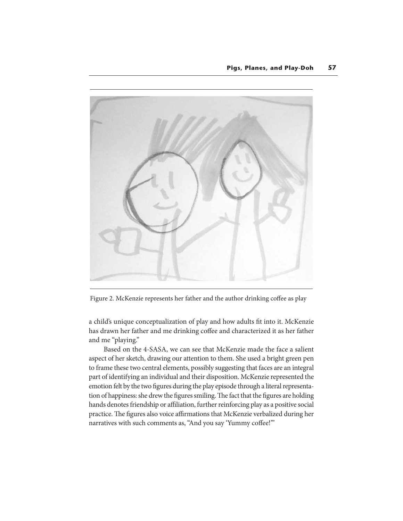

Figure 2. McKenzie represents her father and the author drinking coffee as play

a child's unique conceptualization of play and how adults fit into it. McKenzie has drawn her father and me drinking coffee and characterized it as her father and me "playing."

Based on the 4-SASA, we can see that McKenzie made the face a salient aspect of her sketch, drawing our attention to them. She used a bright green pen to frame these two central elements, possibly suggesting that faces are an integral part of identifying an individual and their disposition. McKenzie represented the emotion felt by the two figures during the play episode through a literal representation of happiness: she drew the figures smiling. The fact that the figures are holding hands denotes friendship or affiliation, further reinforcing play as a positive social practice. The figures also voice affirmations that McKenzie verbalized during her narratives with such comments as, "And you say 'Yummy coffee!""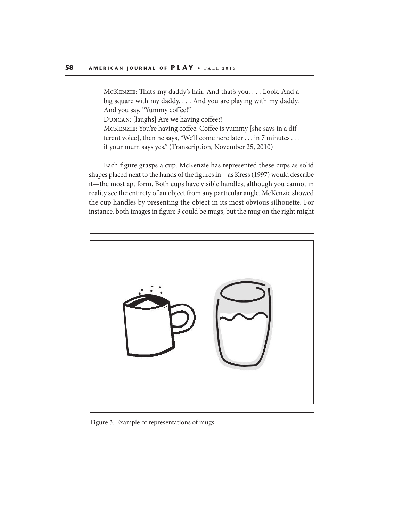MCKENZIE: That's my daddy's hair. And that's you. . . . Look. And a big square with my daddy. . . . And you are playing with my daddy. And you say, "Yummy coffee!"

DUNCAN: [laughs] Are we having coffee?!

McKENZIE: You're having coffee. Coffee is yummy [she says in a different voice], then he says, "We'll come here later . . . in 7 minutes . . . if your mum says yes." (Transcription, November 25, 2010)

Each figure grasps a cup. McKenzie has represented these cups as solid shapes placed next to the hands of the figures in—as Kress (1997) would describe it—the most apt form. Both cups have visible handles, although you cannot in reality see the entirety of an object from any particular angle. McKenzie showed the cup handles by presenting the object in its most obvious silhouette. For instance, both images in figure 3 could be mugs, but the mug on the right might



Figure 3. Example of representations of mugs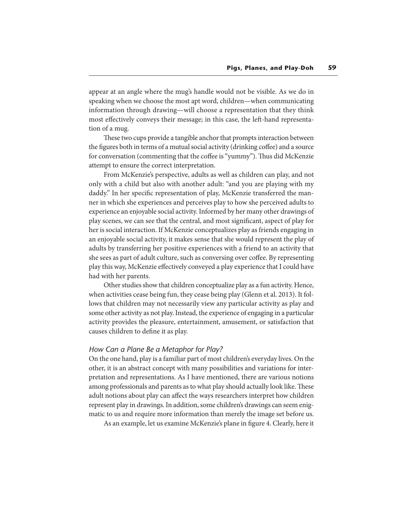appear at an angle where the mug's handle would not be visible. As we do in speaking when we choose the most apt word, children—when communicating information through drawing—will choose a representation that they think most effectively conveys their message; in this case, the left-hand representation of a mug.

These two cups provide a tangible anchor that prompts interaction between the figures both in terms of a mutual social activity (drinking coffee) and a source for conversation (commenting that the coffee is "yummy"). Thus did McKenzie attempt to ensure the correct interpretation.

From McKenzie's perspective, adults as well as children can play, and not only with a child but also with another adult: "and you are playing with my daddy." In her specific representation of play, McKenzie transferred the manner in which she experiences and perceives play to how she perceived adults to experience an enjoyable social activity. Informed by her many other drawings of play scenes, we can see that the central, and most signicant, aspect of play for her is social interaction. If McKenzie conceptualizes play as friends engaging in an enjoyable social activity, it makes sense that she would represent the play of adults by transferring her positive experiences with a friend to an activity that she sees as part of adult culture, such as conversing over coffee. By representing play this way, McKenzie effectively conveyed a play experience that I could have had with her parents.

Other studies show that children conceptualize play as a fun activity. Hence, when activities cease being fun, they cease being play (Glenn et al. 2013). It follows that children may not necessarily view any particular activity as play and some other activity as not play. Instead, the experience of engaging in a particular activity provides the pleasure, entertainment, amusement, or satisfaction that causes children to define it as play.

#### *How Can a Plane Be a Metaphor for Play?*

On the one hand, play is a familiar part of most children's everyday lives. On the other, it is an abstract concept with many possibilities and variations for interpretation and representations. As I have mentioned, there are various notions among professionals and parents as to what play should actually look like. These adult notions about play can affect the ways researchers interpret how children represent play in drawings. In addition, some children's drawings can seem enigmatic to us and require more information than merely the image set before us.

As an example, let us examine McKenzie's plane in figure 4. Clearly, here it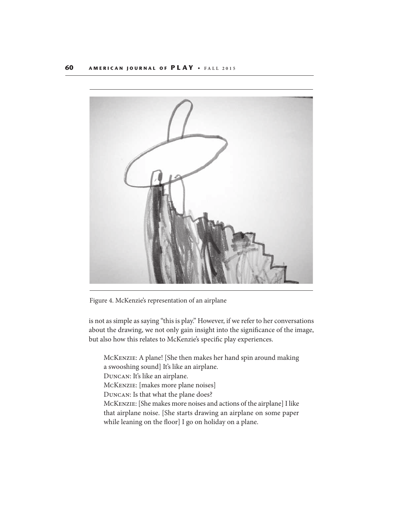

Figure 4. McKenzie's representation of an airplane

is not as simple as saying "this is play." However, if we refer to her conversations about the drawing, we not only gain insight into the significance of the image, but also how this relates to McKenzie's specific play experiences.

McKenzie: A plane! [She then makes her hand spin around making a swooshing sound] It's like an airplane.

Duncan: It's like an airplane.

McKenzie: [makes more plane noises]

Duncan: Is that what the plane does?

McKenzie: [She makes more noises and actions of the airplane] I like that airplane noise. [She starts drawing an airplane on some paper while leaning on the floor] I go on holiday on a plane.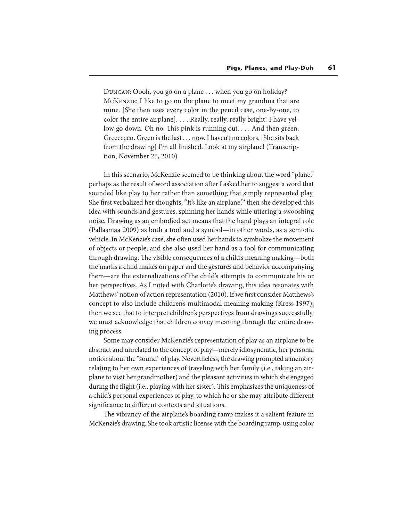Duncan: Oooh, you go on a plane . . . when you go on holiday? McKenzie: I like to go on the plane to meet my grandma that are mine. [She then uses every color in the pencil case, one-by-one, to color the entire airplane]. . . . Really, really, really bright! I have yellow go down. Oh no. This pink is running out.  $\dots$  And then green. Greeeeeen. Green is the last . . . now. I haven't no colors. [She sits back from the drawing] I'm all finished. Look at my airplane! (Transcription, November 25, 2010)

In this scenario, McKenzie seemed to be thinking about the word "plane," perhaps as the result of word association after I asked her to suggest a word that sounded like play to her rather than something that simply represented play. She first verbalized her thoughts, "It's like an airplane," then she developed this idea with sounds and gestures, spinning her hands while uttering a swooshing noise. Drawing as an embodied act means that the hand plays an integral role (Pallasmaa 2009) as both a tool and a symbol—in other words, as a semiotic vehicle. In McKenzie's case, she often used her hands to symbolize the movement of objects or people, and she also used her hand as a tool for communicating through drawing. The visible consequences of a child's meaning making—both the marks a child makes on paper and the gestures and behavior accompanying them—are the externalizations of the child's attempts to communicate his or her perspectives. As I noted with Charlotte's drawing, this idea resonates with Matthews' notion of action representation (2010). If we first consider Matthews's concept to also include children's multimodal meaning making (Kress 1997), then we see that to interpret children's perspectives from drawings successfully, we must acknowledge that children convey meaning through the entire drawing process.

Some may consider McKenzie's representation of play as an airplane to be abstract and unrelated to the concept of play—merely idiosyncratic, her personal notion about the "sound" of play. Nevertheless, the drawing prompted a memory relating to her own experiences of traveling with her family (i.e., taking an airplane to visit her grandmother) and the pleasant activities in which she engaged during the flight (i.e., playing with her sister). This emphasizes the uniqueness of a child's personal experiences of play, to which he or she may attribute different significance to different contexts and situations.

The vibrancy of the airplane's boarding ramp makes it a salient feature in McKenzie's drawing. She took artistic license with the boarding ramp, using color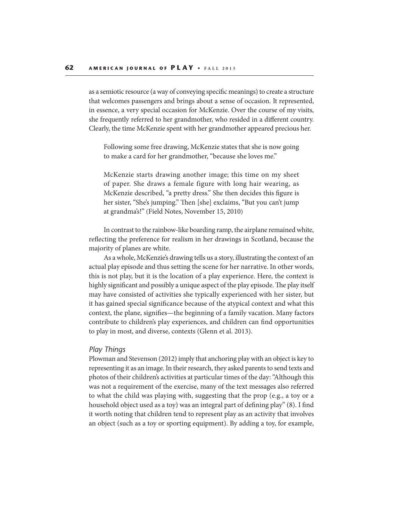as a semiotic resource (a way of conveying specific meanings) to create a structure that welcomes passengers and brings about a sense of occasion. It represented, in essence, a very special occasion for McKenzie. Over the course of my visits, she frequently referred to her grandmother, who resided in a different country. Clearly, the time McKenzie spent with her grandmother appeared precious her.

Following some free drawing, McKenzie states that she is now going to make a card for her grandmother, "because she loves me."

McKenzie starts drawing another image; this time on my sheet of paper. She draws a female figure with long hair wearing, as McKenzie described, "a pretty dress." She then decides this figure is her sister, "She's jumping." Then [she] exclaims, "But you can't jump at grandma's!" (Field Notes, November 15, 2010)

In contrast to the rainbow-like boarding ramp, the airplane remained white, reflecting the preference for realism in her drawings in Scotland, because the majority of planes are white.

As a whole, McKenzie's drawing tells us a story, illustrating the context of an actual play episode and thus setting the scene for her narrative. In other words, this is not play, but it is the location of a play experience. Here, the context is highly significant and possibly a unique aspect of the play episode. The play itself may have consisted of activities she typically experienced with her sister, but it has gained special significance because of the atypical context and what this context, the plane, signifies—the beginning of a family vacation. Many factors contribute to children's play experiences, and children can find opportunities to play in most, and diverse, contexts (Glenn et al. 2013).

#### *Play Things*

Plowman and Stevenson (2012) imply that anchoring play with an object is key to representing it as an image. In their research, they asked parents to send texts and photos of their children's activities at particular times of the day: "Although this was not a requirement of the exercise, many of the text messages also referred to what the child was playing with, suggesting that the prop (e.g., a toy or a household object used as a toy) was an integral part of defining play" (8). I find it worth noting that children tend to represent play as an activity that involves an object (such as a toy or sporting equipment). By adding a toy, for example,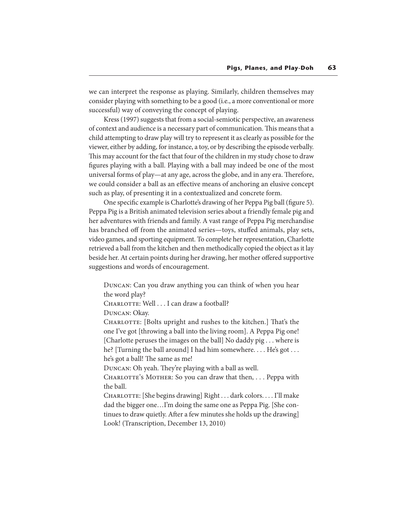we can interpret the response as playing. Similarly, children themselves may consider playing with something to be a good (i.e., a more conventional or more successful) way of conveying the concept of playing.

Kress (1997) suggests that from a social-semiotic perspective, an awareness of context and audience is a necessary part of communication. This means that a child attempting to draw play will try to represent it as clearly as possible for the viewer, either by adding, for instance, a toy, or by describing the episode verbally. This may account for the fact that four of the children in my study chose to draw figures playing with a ball. Playing with a ball may indeed be one of the most universal forms of play—at any age, across the globe, and in any era. Therefore, we could consider a ball as an effective means of anchoring an elusive concept such as play, of presenting it in a contextualized and concrete form.

One specific example is Charlotte's drawing of her Peppa Pig ball (figure 5). Peppa Pig is a British animated television series about a friendly female pig and her adventures with friends and family. A vast range of Peppa Pig merchandise has branched off from the animated series—toys, stuffed animals, play sets, video games, and sporting equipment. To complete her representation, Charlotte retrieved a ball from the kitchen and then methodically copied the object as it lay beside her. At certain points during her drawing, her mother offered supportive suggestions and words of encouragement.

Duncan: Can you draw anything you can think of when you hear the word play?

CHARLOTTE: Well . . . I can draw a football?

Duncan: Okay.

CHARLOTTE: [Bolts upright and rushes to the kitchen.] That's the one I've got [throwing a ball into the living room]. A Peppa Pig one! [Charlotte peruses the images on the ball] No daddy pig . . . where is he? [Turning the ball around] I had him somewhere.... He's got... he's got a ball! The same as me!

DUNCAN: Oh yeah. They're playing with a ball as well.

CHARLOTTE's MOTHER: So you can draw that then, ... Peppa with the ball.

CHARLOTTE: [She begins drawing] Right . . . dark colors. . . . I'll make dad the bigger one…I'm doing the same one as Peppa Pig. [She continues to draw quietly. After a few minutes she holds up the drawing] Look! (Transcription, December 13, 2010)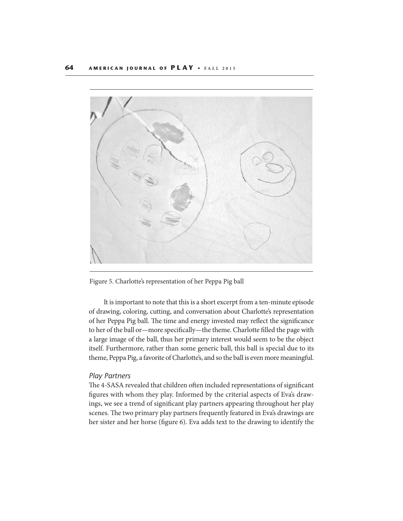

Figure 5. Charlotte's representation of her Peppa Pig ball

It is important to note that this is a short excerpt from a ten-minute episode of drawing, coloring, cutting, and conversation about Charlotte's representation of her Peppa Pig ball. The time and energy invested may reflect the significance to her of the ball or—more specifically—the theme. Charlotte filled the page with a large image of the ball, thus her primary interest would seem to be the object itself. Furthermore, rather than some generic ball, this ball is special due to its theme, Peppa Pig, a favorite of Charlotte's, and so the ball is even more meaningful.

#### *Play Partners*

The 4-SASA revealed that children often included representations of significant figures with whom they play. Informed by the criterial aspects of Eva's drawings, we see a trend of significant play partners appearing throughout her play scenes. The two primary play partners frequently featured in Eva's drawings are her sister and her horse (figure 6). Eva adds text to the drawing to identify the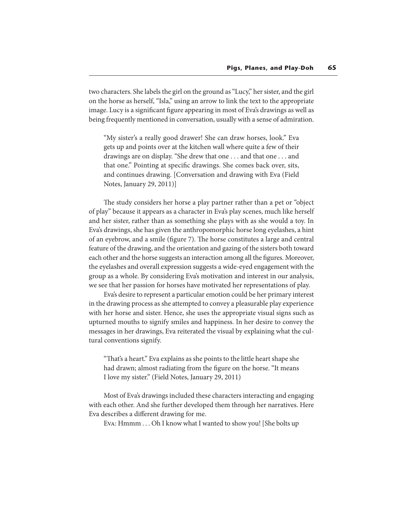two characters. She labels the girl on the ground as "Lucy," her sister, and the girl on the horse as herself, "Isla," using an arrow to link the text to the appropriate image. Lucy is a significant figure appearing in most of Eva's drawings as well as being frequently mentioned in conversation, usually with a sense of admiration.

"My sister's a really good drawer! She can draw horses, look." Eva gets up and points over at the kitchen wall where quite a few of their drawings are on display. "She drew that one . . . and that one . . . and that one." Pointing at specific drawings. She comes back over, sits, and continues drawing. [Conversation and drawing with Eva (Field Notes, January 29, 2011)]

The study considers her horse a play partner rather than a pet or "object of play" because it appears as a character in Eva's play scenes, much like herself and her sister, rather than as something she plays with as she would a toy. In Eva's drawings, she has given the anthropomorphic horse long eyelashes, a hint of an eyebrow, and a smile (figure 7). The horse constitutes a large and central feature of the drawing, and the orientation and gazing of the sisters both toward each other and the horse suggests an interaction among all the figures. Moreover, the eyelashes and overall expression suggests a wide-eyed engagement with the group as a whole. By considering Eva's motivation and interest in our analysis, we see that her passion for horses have motivated her representations of play.

Eva's desire to represent a particular emotion could be her primary interest in the drawing process as she attempted to convey a pleasurable play experience with her horse and sister. Hence, she uses the appropriate visual signs such as upturned mouths to signify smiles and happiness. In her desire to convey the messages in her drawings, Eva reiterated the visual by explaining what the cultural conventions signify.

"That's a heart." Eva explains as she points to the little heart shape she had drawn; almost radiating from the figure on the horse. "It means I love my sister." (Field Notes, January 29, 2011)

Most of Eva's drawings included these characters interacting and engaging with each other. And she further developed them through her narratives. Here Eva describes a different drawing for me.

Eva: Hmmm . . . Oh I know what I wanted to show you! [She bolts up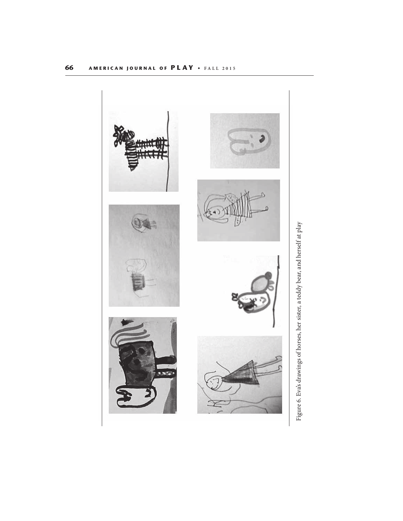

Figure 6. Eva's drawings of horses, her sister, a teddy bear, and herself at play Figure 6. Eva's drawings of horses, her sister, a teddy bear, and herself at play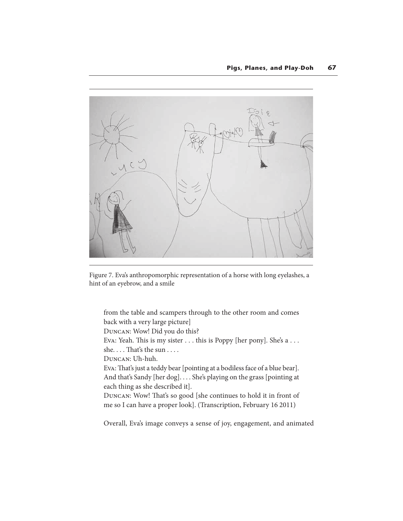

Figure 7. Eva's anthropomorphic representation of a horse with long eyelashes, a hint of an eyebrow, and a smile

from the table and scampers through to the other room and comes back with a very large picture] Duncan: Wow! Did you do this? Eva: Yeah. This is my sister . . . this is Poppy [her pony]. She's a . . . she.... That's the sun  $\dots$ Duncan: Uh-huh. Eva: That's just a teddy bear [pointing at a bodiless face of a blue bear]. And that's Sandy [her dog]. . . . She's playing on the grass [pointing at each thing as she described it]. DUNCAN: Wow! That's so good [she continues to hold it in front of me so I can have a proper look]. (Transcription, February 16 2011)

Overall, Eva's image conveys a sense of joy, engagement, and animated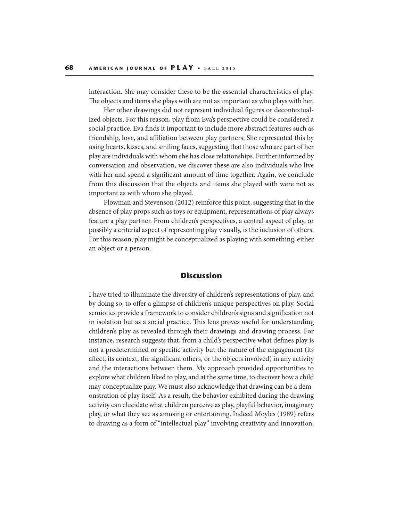interaction. She may consider these to be the essential characteristics of play. The objects and items she plays with are not as important as who plays with her.

Her other drawings did not represent individual figures or decontextualized objects. For this reason, play from Eva's perspective could be considered a social practice. Eva finds it important to include more abstract features such as friendship, love, and affiliation between play partners. She represented this by using hearts, kisses, and smiling faces, suggesting that those who are part of her play are individuals with whom she has close relationships. Further informed by conversation and observation, we discover these are also individuals who live with her and spend a significant amount of time together. Again, we conclude from this discussion that the objects and items she played with were not as important as with whom she played.

Plowman and Stevenson (2012) reinforce this point, suggesting that in the absence of play props such as toys or equipment, representations of play always feature a play partner. From children's perspectives, a central aspect of play, or possibly a criterial aspect of representing play visually, is the inclusion of others. For this reason, play might be conceptualized as playing with something, either an object or a person.

## **Discussion**

I have tried to illuminate the diversity of children's representations of play, and by doing so, to offer a glimpse of children's unique perspectives on play. Social semiotics provide a framework to consider children's signs and signification not in isolation but as a social practice. This lens proves useful for understanding children's play as revealed through their drawings and drawing process. For instance, research suggests that, from a child's perspective what defines play is not a predetermined or specific activity but the nature of the engagement (its affect, its context, the significant others, or the objects involved) in any activity and the interactions between them. My approach provided opportunities to explore what children liked to play, and at the same time, to discover how a child may conceptualize play. We must also acknowledge that drawing can be a demonstration of play itself. As a result, the behavior exhibited during the drawing activity can elucidate what children perceive as play, playful behavior, imaginary play, or what they see as amusing or entertaining. Indeed Moyles (1989) refers to drawing as a form of "intellectual play" involving creativity and innovation,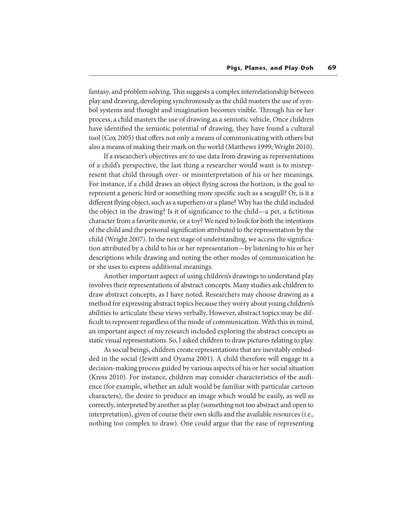fantasy, and problem solving. This suggests a complex interrelationship between play and drawing, developing synchronously as the child masters the use of symbol systems and thought and imagination becomes visible. Through his or her process, a child masters the use of drawing as a semiotic vehicle. Once children have identified the semiotic potential of drawing, they have found a cultural tool (Cox 2005) that offers not only a means of communicating with others but also a means of making their mark on the world (Matthews 1999; Wright 2010).

If a researcher's objectives are to use data from drawing as representations of a child's perspective, the last thing a researcher would want is to misrepresent that child through over- or misinterpretation of his or her meanings. For instance, if a child draws an object flying across the horizon, is the goal to represent a generic bird or something more specific such as a seagull? Or, is it a different flying object, such as a superhero or a plane? Why has the child included the object in the drawing? Is it of significance to the child—a pet, a fictitious character from a favorite movie, or a toy? We need to look for both the intentions of the child and the personal signication attributed to the representation by the child (Wright 2007). In the next stage of understanding, we access the signication attributed by a child to his or her representation—by listening to his or her descriptions while drawing and noting the other modes of communication he or she uses to express additional meanings.

Another important aspect of using children's drawings to understand play involves their representations of abstract concepts. Many studies ask children to draw abstract concepts, as I have noted. Researchers may choose drawing as a method for expressing abstract topics because they worry about young children's abilities to articulate these views verbally. However, abstract topics may be dif ficult to represent regardless of the mode of communication. With this in mind, an important aspect of my research included exploring the abstract concepts as static visual representations. So, I asked children to draw pictures relating to play.

As social beings, children create representations that are inevitably embedded in the social (Jewitt and Oyama 2001). A child therefore will engage in a decision-making process guided by various aspects of his or her social situation (Kress 2010). For instance, children may consider characteristics of the audience (for example, whether an adult would be familiar with particular cartoon characters), the desire to produce an image which would be easily, as well as correctly, interpreted by another as play (something not too abstract and open to interpretation), given of course their own skills and the available resources (i.e., nothing too complex to draw). One could argue that the ease of representing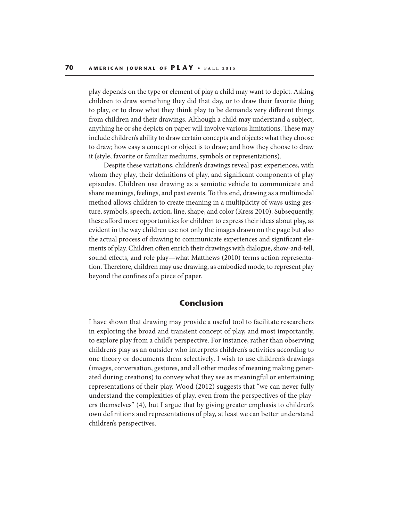play depends on the type or element of play a child may want to depict. Asking children to draw something they did that day, or to draw their favorite thing to play, or to draw what they think play to be demands very different things from children and their drawings. Although a child may understand a subject, anything he or she depicts on paper will involve various limitations. These may include children's ability to draw certain concepts and objects: what they choose to draw; how easy a concept or object is to draw; and how they choose to draw it (style, favorite or familiar mediums, symbols or representations).

Despite these variations, children's drawings reveal past experiences, with whom they play, their definitions of play, and significant components of play episodes. Children use drawing as a semiotic vehicle to communicate and share meanings, feelings, and past events. To this end, drawing as a multimodal method allows children to create meaning in a multiplicity of ways using gesture, symbols, speech, action, line, shape, and color (Kress 2010). Subsequently, these afford more opportunities for children to express their ideas about play, as evident in the way children use not only the images drawn on the page but also the actual process of drawing to communicate experiences and significant elements of play. Children often enrich their drawings with dialogue, show-and-tell, sound effects, and role play—what Matthews (2010) terms action representation. Therefore, children may use drawing, as embodied mode, to represent play beyond the confines of a piece of paper.

## **Conclusion**

I have shown that drawing may provide a useful tool to facilitate researchers in exploring the broad and transient concept of play, and most importantly, to explore play from a child's perspective. For instance, rather than observing children's play as an outsider who interprets children's activities according to one theory or documents them selectively, I wish to use children's drawings (images, conversation, gestures, and all other modes of meaning making generated during creations) to convey what they see as meaningful or entertaining representations of their play. Wood (2012) suggests that "we can never fully understand the complexities of play, even from the perspectives of the players themselves" (4), but I argue that by giving greater emphasis to children's own definitions and representations of play, at least we can better understand children's perspectives.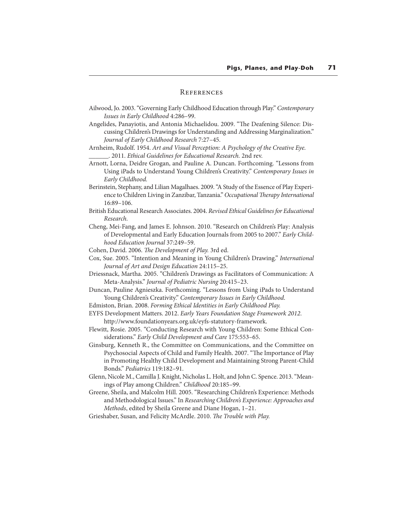#### **REFERENCES**

- Ailwood, Jo. 2003. "Governing Early Childhood Education through Play." Contemporary Issues in Early Childhood 4:286–99.
- Angelides, Panayiotis, and Antonia Michaelidou. 2009. "The Deafening Silence: Discussing Children's Drawings for Understanding and Addressing Marginalization." Journal of Early Childhood Research 7:27–45.
- Arnheim, Rudolf. 1954. Art and Visual Perception: A Psychology of the Creative Eye. \_\_\_\_\_\_. 2011. Ethical Guidelines for Educational Research. 2nd rev.
- Arnott, Lorna, Deidre Grogan, and Pauline A. Duncan. Forthcoming. "Lessons from Using iPads to Understand Young Children's Creativity." Contemporary Issues in Early Childhood.
- Berinstein, Stephany, and Lilian Magalhaes. 2009. "A Study of the Essence of Play Experience to Children Living in Zanzibar, Tanzania." Occupational Therapy International 16:89–106.
- British Educational Research Associates. 2004. Revised Ethical Guidelines for Educational Research.
- Cheng, Mei-Fang, and James E. Johnson. 2010. "Research on Children's Play: Analysis of Developmental and Early Education Journals from 2005 to 2007." Early Childhood Education Journal 37:249–59.
- Cohen, David. 2006. The Development of Play. 3rd ed.
- Cox, Sue. 2005. "Intention and Meaning in Young Children's Drawing." International Journal of Art and Design Education 24:115–25.
- Driessnack, Martha. 2005. "Children's Drawings as Facilitators of Communication: A Meta-Analysis." Journal of Pediatric Nursing 20:415–23.
- Duncan, Pauline Agnieszka. Forthcoming. "Lessons from Using iPads to Understand Young Children's Creativity." Contemporary Issues in Early Childhood.
- Edmiston, Brian. 2008. Forming Ethical Identities in Early Childhood Play.
- EYFS Development Matters. 2012. Early Years Foundation Stage Framework 2012. http://www.foundationyears.org.uk/eyfs-statutory-framework.
- Flewitt, Rosie. 2005. "Conducting Research with Young Children: Some Ethical Considerations." Early Child Development and Care 175:553–65.
- Ginsburg, Kenneth R., the Committee on Communications, and the Committee on Psychosocial Aspects of Child and Family Health. 2007. "The Importance of Play in Promoting Healthy Child Development and Maintaining Strong Parent-Child Bonds." Pediatrics 119:182–91.
- Glenn, Nicole M., Camilla J. Knight, Nicholas L. Holt, and John C. Spence. 2013. "Meanings of Play among Children." Childhood 20:185–99.
- Greene, Sheila, and Malcolm Hill. 2005. "Researching Children's Experience: Methods and Methodological Issues." In Researching Children's Experience: Approaches and Methods, edited by Sheila Greene and Diane Hogan, 1–21.
- Grieshaber, Susan, and Felicity McArdle. 2010. The Trouble with Play.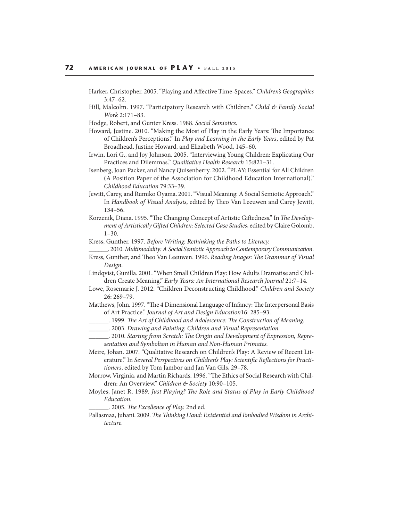- Harker, Christopher. 2005. "Playing and Affective Time-Spaces." Children's Geographies 3:47–62.
- Hill, Malcolm. 1997. "Participatory Research with Children." Child & Family Social Work 2:171–83.
- Hodge, Robert, and Gunter Kress. 1988. Social Semiotics.
- Howard, Justine. 2010. "Making the Most of Play in the Early Years: The Importance of Children's Perceptions." In Play and Learning in the Early Years, edited by Pat Broadhead, Justine Howard, and Elizabeth Wood, 145–60.
- Irwin, Lori G., and Joy Johnson. 2005. "Interviewing Young Children: Explicating Our Practices and Dilemmas." Qualitative Health Research 15:821–31.
- Isenberg, Joan Packer, and Nancy Quisenberry. 2002. "PLAY: Essential for All Children (A Position Paper of the Association for Childhood Education International)." Childhood Education 79:33–39.
- Jewitt, Carey, and Rumiko Oyama. 2001. "Visual Meaning: A Social Semiotic Approach." In Handbook of Visual Analysis, edited by Theo Van Leeuwen and Carey Jewitt, 134–56.
- Korzenik, Diana. 1995. "The Changing Concept of Artistic Giftedness." In The Development of Artistically Gifted Children: Selected Case Studies, edited by Claire Golomb, 1–30.
- Kress, Gunther. 1997. Before Writing: Rethinking the Paths to Literacy.
- \_\_\_\_\_\_. 2010. Multimodality: A Social Semiotic Approach to Contemporary Communication.
- Kress, Gunther, and Theo Van Leeuwen. 1996. Reading Images: The Grammar of Visual Design.
- Lindqvist, Gunilla. 2001. "When Small Children Play: How Adults Dramatise and Children Create Meaning." Early Years: An International Research Journal 21:7–14.
- Lowe, Rosemarie J. 2012. "Children Deconstructing Childhood." Children and Society 26: 269–79.
- Matthews, John. 1997. "The 4 Dimensional Language of Infancy: The Interpersonal Basis of Art Practice." Journal of Art and Design Education16: 285–93.
	- \_\_\_\_. 1999. The Art of Childhood and Adolescence: The Construction of Meaning.
- \_\_\_\_\_\_. 2003. Drawing and Painting: Children and Visual Representation.
- \_\_\_\_\_\_. 2010. Starting from Scratch: !e Origin and Development of Expression, Representation and Symbolism in Human and Non-Human Primates.
- Meire, Johan. 2007. "Qualitative Research on Children's Play: A Review of Recent Literature." In Several Perspectives on Children's Play: Scientific Reflections for Practitioners, edited by Tom Jambor and Jan Van Gils, 29–78.
- Morrow, Virginia, and Martin Richards. 1996. "The Ethics of Social Research with Children: An Overview." Children & Society 10:90-105.
- Moyles, Janet R. 1989. Just Playing? The Role and Status of Play in Early Childhood Education.
	- \_\_\_\_\_\_. 2005. !e Excellence of Play. 2nd ed.
- Pallasmaa, Juhani. 2009. The Thinking Hand: Existential and Embodied Wisdom in Architecture.